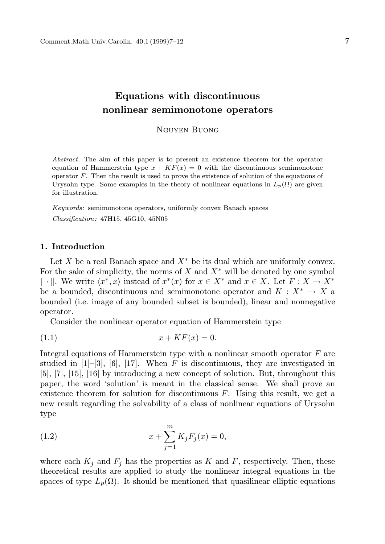# Equations with discontinuous nonlinear semimonotone operators

Nguyen Buong

Abstract. The aim of this paper is to present an existence theorem for the operator equation of Hammerstein type  $x + KF(x) = 0$  with the discontinuous semimonotone operator  $F$ . Then the result is used to prove the existence of solution of the equations of Urysohn type. Some examples in the theory of nonlinear equations in  $L_p(\Omega)$  are given for illustration.

Keywords: semimonotone operators, uniformly convex Banach spaces Classification: 47H15, 45G10, 45N05

### 1. Introduction

Let X be a real Banach space and  $X^*$  be its dual which are uniformly convex. For the sake of simplicity, the norms of  $X$  and  $X^*$  will be denoted by one symbol  $\|\cdot\|$ . We write  $\langle x^*, x \rangle$  instead of  $x^*(x)$  for  $x \in X^*$  and  $x \in X$ . Let  $F : X \to X^*$ be a bounded, discontinuous and semimonotone operator and  $K: X^* \to X$  a bounded (i.e. image of any bounded subset is bounded), linear and nonnegative operator.

Consider the nonlinear operator equation of Hammerstein type

$$
(1.1) \t\t x + KF(x) = 0.
$$

Integral equations of Hammerstein type with a nonlinear smooth operator  $F$  are studied in  $[1]$ –[3], [6], [17]. When F is discontinuous, they are investigated in [5], [7], [15], [16] by introducing a new concept of solution. But, throughout this paper, the word 'solution' is meant in the classical sense. We shall prove an existence theorem for solution for discontinuous  $F$ . Using this result, we get a new result regarding the solvability of a class of nonlinear equations of Urysohn type

(1.2) 
$$
x + \sum_{j=1}^{m} K_j F_j(x) = 0,
$$

where each  $K_j$  and  $F_j$  has the properties as K and F, respectively. Then, these theoretical results are applied to study the nonlinear integral equations in the spaces of type  $L_p(\Omega)$ . It should be mentioned that quasilinear elliptic equations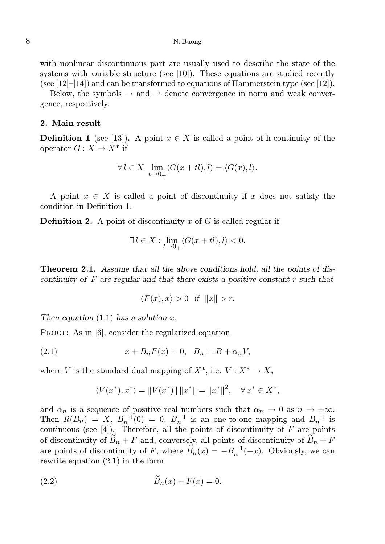### 8 N. Buong

with nonlinear discontinuous part are usually used to describe the state of the systems with variable structure (see  $[10]$ ). These equations are studied recently (see  $[12]$ – $[14]$ ) and can be transformed to equations of Hammerstein type (see  $[12]$ ).

Below, the symbols  $\rightarrow$  and  $\rightarrow$  denote convergence in norm and weak convergence, respectively.

## 2. Main result

**Definition 1** (see [13]). A point  $x \in X$  is called a point of h-continuity of the operator  $G: X \to X^*$  if

$$
\forall l \in X \ \lim_{t \to 0+} \langle G(x+tl), l \rangle = \langle G(x), l \rangle.
$$

A point  $x \in X$  is called a point of discontinuity if x does not satisfy the condition in Definition 1.

**Definition 2.** A point of discontinuity x of G is called regular if

$$
\exists l \in X : \lim_{t \to 0_+} \langle G(x+tl), l \rangle < 0.
$$

**Theorem 2.1.** Assume that all the above conditions hold, all the points of discontinuity of  $F$  are regular and that there exists a positive constant  $r$  such that

$$
\langle F(x), x \rangle > 0 \quad \text{if} \quad ||x|| > r.
$$

Then equation  $(1.1)$  has a solution x.

PROOF: As in [6], consider the regularized equation

(2.1) 
$$
x + B_n F(x) = 0, \quad B_n = B + \alpha_n V,
$$

where V is the standard dual mapping of  $X^*$ , i.e.  $V: X^* \to X$ ,

$$
\langle V(x^*), x^* \rangle = \| V(x^*) \| \, \|x^*\| = \|x^*\|^2, \quad \forall \, x^* \in X^*,
$$

and  $\alpha_n$  is a sequence of positive real numbers such that  $\alpha_n \to 0$  as  $n \to +\infty$ . Then  $R(B_n) = X$ ,  $B_n^{-1}(0) = 0$ ,  $B_n^{-1}$  is an one-to-one mapping and  $B_n^{-1}$  is continuous (see  $[4]$ ). Therefore, all the points of discontinuity of  $F$  are points of discontinuity of  $B_n + F$  and, conversely, all points of discontinuity of  $\widetilde{B}_n + F$ are points of discontinuity of F, where  $\widetilde{B}_n(x) = -B_n^{-1}(-x)$ . Obviously, we can rewrite equation (2.1) in the form

$$
(2.2) \qquad \qquad \widetilde{B}_n(x) + F(x) = 0.
$$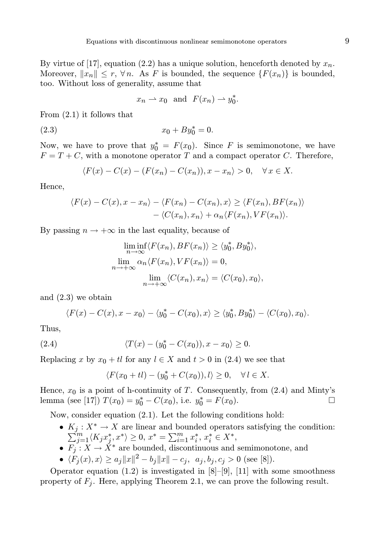By virtue of [17], equation (2.2) has a unique solution, henceforth denoted by  $x_n$ . Moreover,  $||x_n|| \leq r$ ,  $\forall n$ . As F is bounded, the sequence  $\{F(x_n)\}\$ is bounded, too. Without loss of generality, assume that

$$
x_n \rightharpoonup x_0
$$
 and  $F(x_n) \rightharpoonup y_0^*$ .

From (2.1) it follows that

(2.3)  $x_0 + By_0^* = 0.$ 

Now, we have to prove that  $y_0^* = F(x_0)$ . Since F is semimonotone, we have  $F = T + C$ , with a monotone operator T and a compact operator C. Therefore,

$$
\langle F(x) - C(x) - (F(x_n) - C(x_n)), x - x_n \rangle > 0, \quad \forall x \in X.
$$

Hence,

$$
\langle F(x) - C(x), x - x_n \rangle - \langle F(x_n) - C(x_n), x \rangle \ge \langle F(x_n), BF(x_n) \rangle
$$
  
 
$$
- \langle C(x_n), x_n \rangle + \alpha_n \langle F(x_n), VF(x_n) \rangle.
$$

By passing  $n \to +\infty$  in the last equality, because of

$$
\liminf_{n \to \infty} \langle F(x_n), BF(x_n) \rangle \ge \langle y_0^*, By_0^* \rangle,
$$
  
\n
$$
\lim_{n \to +\infty} \alpha_n \langle F(x_n), VF(x_n) \rangle = 0,
$$
  
\n
$$
\lim_{n \to +\infty} \langle C(x_n), x_n \rangle = \langle C(x_0), x_0 \rangle,
$$

and (2.3) we obtain

$$
\langle F(x) - C(x), x - x_0 \rangle - \langle y_0^* - C(x_0), x \rangle \ge \langle y_0^*, By_0^* \rangle - \langle C(x_0), x_0 \rangle.
$$

Thus,

(2.4) 
$$
\langle T(x) - (y_0^* - C(x_0)), x - x_0 \rangle \ge 0.
$$

Replacing x by  $x_0 + tl$  for any  $l \in X$  and  $t > 0$  in  $(2.4)$  we see that

$$
\langle F(x_0+tl)-(y_0^*+C(x_0)),l\rangle\geq 0,\quad \forall\, l\in X.
$$

Hence,  $x_0$  is a point of h-continuity of T. Consequently, from (2.4) and Minty's lemma (see [17])  $T(x_0) = y_0^* - C(x_0)$ , i.e.  $y_0^* = F(x_0)$ .

Now, consider equation (2.1). Let the following conditions hold:

- $K_j: X^* \to X$  are linear and bounded operators satisfying the condition:<br> $\sum_{i=1}^m (K_i x^*, x^*) \geq 0, x^* = \sum_{i=1}^m x^*, x^* \in X^*$ .  $\int_{j=1}^m \langle K_j x_j^* \rangle$  $\langle j, x^* \rangle \geq 0, x^* = \sum_{i=1}^m x_i^*$  $x_i^*, x_i^*$  ∈  $X^*,$
- $F_j: X \to X^*$  are bounded, discontinuous and semimonotone, and
- $\langle F_j(x), x \rangle \ge a_j \|x\|^2 b_j \|x\| c_j, \quad a_j, b_j, c_j > 0 \text{ (see [8]).}$

Operator equation  $(1.2)$  is investigated in  $[8]$ – $[9]$ ,  $[11]$  with some smoothness property of  $F_j$ . Here, applying Theorem 2.1, we can prove the following result.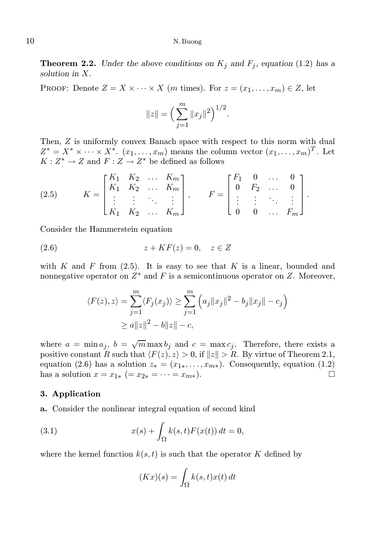### 10 N. Buong

**Theorem 2.2.** Under the above conditions on  $K_j$  and  $F_j$ , equation (1.2) has a solution in X.

PROOF: Denote  $Z = X \times \cdots \times X$  (*m* times). For  $z = (x_1, \ldots, x_m) \in Z$ , let

$$
||z|| = \left(\sum_{j=1}^m ||x_j||^2\right)^{1/2}.
$$

.

Then, Z is uniformly convex Banach space with respect to this norm with dual  $Z^* = X^* \times \cdots \times X^*$ .  $(x_1, \ldots, x_m)$  means the column vector  $(x_1, \ldots, x_m)^T$ . Let  $K: Z^* \to Z$  and  $F: Z \to Z^*$  be defined as follows

(2.5) 
$$
K = \begin{bmatrix} K_1 & K_2 & \dots & K_m \\ K_1 & K_2 & \dots & K_m \\ \vdots & \vdots & \ddots & \vdots \\ K_1 & K_2 & \dots & K_m \end{bmatrix}, \qquad F = \begin{bmatrix} F_1 & 0 & \dots & 0 \\ 0 & F_2 & \dots & 0 \\ \vdots & \vdots & \ddots & \vdots \\ 0 & 0 & \dots & F_m \end{bmatrix}.
$$

Consider the Hammerstein equation

$$
(2.6) \t\t z+KF(z)=0, \t z\in Z
$$

with  $K$  and  $F$  from (2.5). It is easy to see that  $K$  is a linear, bounded and nonnegative operator on  $Z^*$  and F is a semicontinuous operator on Z. Moreover,

$$
\langle F(z), z \rangle = \sum_{j=1}^{m} \langle F_j(x_j) \rangle \ge \sum_{j=1}^{m} \left( a_j \|x_j\|^2 - b_j \|x_j\| - c_j \right)
$$
  
 
$$
\ge a \|z\|^2 - b \|z\| - c,
$$

where  $a = \min a_j$ ,  $b = \sqrt{m} \max b_j$  and  $c = \max c_j$ . Therefore, there exists a positive constant R such that  $\langle F(z), z \rangle > 0$ , if  $||z|| > R$ . By virtue of Theorem 2.1, equation (2.6) has a solution  $z_* = (x_{1*}, \ldots, x_{m*})$ . Consequently, equation (1.2) has a solution  $x = x_{1*} (= x_{2*} = \cdots = x_{m*}).$ 

#### 3. Application

a. Consider the nonlinear integral equation of second kind

(3.1) 
$$
x(s) + \int_{\Omega} k(s,t)F(x(t)) dt = 0,
$$

where the kernel function  $k(s, t)$  is such that the operator K defined by

$$
(Kx)(s) = \int_{\Omega} k(s, t)x(t) dt
$$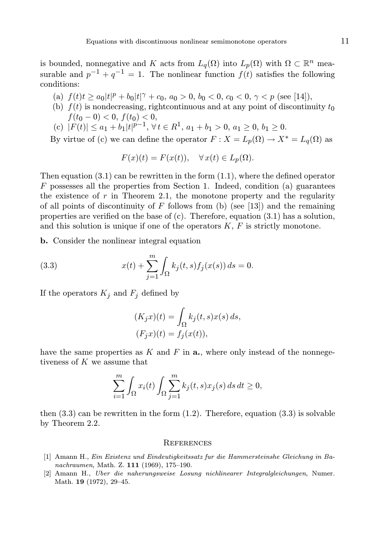is bounded, nonnegative and K acts from  $L_q(\Omega)$  into  $L_p(\Omega)$  with  $\Omega \subset \mathbb{R}^n$  measurable and  $p^{-1} + q^{-1} = 1$ . The nonlinear function  $f(t)$  satisfies the following conditions:

- (a)  $f(t)t \ge a_0|t|^p + b_0|t|^\gamma + c_0$ ,  $a_0 > 0$ ,  $b_0 < 0$ ,  $c_0 < 0$ ,  $\gamma < p$  (see [14]),
- (b)  $f(t)$  is nondecreasing, rightcontinuous and at any point of discontinuity  $t_0$  $f(t_0 - 0) < 0, f(t_0) < 0,$
- (c)  $|F(t)| \leq a_1 + b_1|t|^{p-1}, \forall t \in R^1, a_1 + b_1 > 0, a_1 \geq 0, b_1 \geq 0.$

By virtue of (c) we can define the operator  $F: X = L_p(\Omega) \to X^* = L_q(\Omega)$  as

$$
F(x)(t) = F(x(t)), \quad \forall x(t) \in L_p(\Omega).
$$

Then equation  $(3.1)$  can be rewritten in the form  $(1.1)$ , where the defined operator  $F$  possesses all the properties from Section 1. Indeed, condition (a) guarantees the existence of  $r$  in Theorem 2.1, the monotone property and the regularity of all points of discontinuity of  $F$  follows from (b) (see [13]) and the remaining properties are verified on the base of (c). Therefore, equation (3.1) has a solution, and this solution is unique if one of the operators  $K$ ,  $F$  is strictly monotone.

b. Consider the nonlinear integral equation

(3.3) 
$$
x(t) + \sum_{j=1}^{m} \int_{\Omega} k_j(t,s) f_j(x(s)) ds = 0.
$$

If the operators  $K_j$  and  $F_j$  defined by

$$
(K_jx)(t) = \int_{\Omega} k_j(t, s)x(s) ds,
$$
  
\n
$$
(F_jx)(t) = f_j(x(t)),
$$

have the same properties as  $K$  and  $F$  in  $a$ , where only instead of the nonnegetiveness of K we assume that

$$
\sum_{i=1}^{m} \int_{\Omega} x_i(t) \int_{\Omega} \sum_{j=1}^{m} k_j(t,s) x_j(s) \, ds \, dt \ge 0,
$$

then  $(3.3)$  can be rewritten in the form  $(1.2)$ . Therefore, equation  $(3.3)$  is solvable by Theorem 2.2.

#### **REFERENCES**

- [1] Amann H., Ein Existenz und Eindeutigkeitssatz fur die Hammersteinshe Gleichung in Banachraumen, Math. Z. 111 (1969), 175–190.
- [2] Amann H., Uber die naherungsweise Losung nichlinearer Integralgleichungen, Numer. Math. 19 (1972), 29–45.